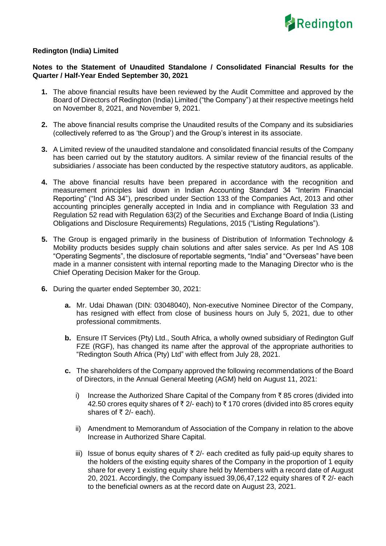

## **Redington (India) Limited**

## **Notes to the Statement of Unaudited Standalone / Consolidated Financial Results for the Quarter / Half-Year Ended September 30, 2021**

- **1.** The above financial results have been reviewed by the Audit Committee and approved by the Board of Directors of Redington (India) Limited ("the Company") at their respective meetings held on November 8, 2021, and November 9, 2021.
- **2.** The above financial results comprise the Unaudited results of the Company and its subsidiaries (collectively referred to as 'the Group') and the Group's interest in its associate.
- **3.** A Limited review of the unaudited standalone and consolidated financial results of the Company has been carried out by the statutory auditors. A similar review of the financial results of the subsidiaries / associate has been conducted by the respective statutory auditors, as applicable.
- **4.** The above financial results have been prepared in accordance with the recognition and measurement principles laid down in Indian Accounting Standard 34 "Interim Financial Reporting" ("Ind AS 34"), prescribed under Section 133 of the Companies Act, 2013 and other accounting principles generally accepted in India and in compliance with Regulation 33 and Regulation 52 read with Regulation 63(2) of the Securities and Exchange Board of India (Listing Obligations and Disclosure Requirements) Regulations, 2015 ("Listing Regulations").
- **5.** The Group is engaged primarily in the business of Distribution of Information Technology & Mobility products besides supply chain solutions and after sales service. As per Ind AS 108 "Operating Segments", the disclosure of reportable segments, "India" and "Overseas" have been made in a manner consistent with internal reporting made to the Managing Director who is the Chief Operating Decision Maker for the Group.
- **6.** During the quarter ended September 30, 2021:
	- **a.** Mr. Udai Dhawan (DIN: 03048040), Non-executive Nominee Director of the Company, has resigned with effect from close of business hours on July 5, 2021, due to other professional commitments.
	- **b.** Ensure IT Services (Pty) Ltd., South Africa, a wholly owned subsidiary of Redington Gulf FZE (RGF), has changed its name after the approval of the appropriate authorities to "Redington South Africa (Pty) Ltd" with effect from July 28, 2021.
	- **c.** The shareholders of the Company approved the following recommendations of the Board of Directors, in the Annual General Meeting (AGM) held on August 11, 2021:
		- i) Increase the Authorized Share Capital of the Company from  $\bar{\tau}$  85 crores (divided into 42.50 crores equity shares of  $\bar{\tau}$  2/- each) to  $\bar{\tau}$  170 crores (divided into 85 crores equity shares of  $\bar{\tau}$  2/- each).
		- ii) Amendment to Memorandum of Association of the Company in relation to the above Increase in Authorized Share Capital.
		- iii) Issue of bonus equity shares of  $\bar{\tau}$  2/- each credited as fully paid-up equity shares to the holders of the existing equity shares of the Company in the proportion of 1 equity share for every 1 existing equity share held by Members with a record date of August 20, 2021. Accordingly, the Company issued 39,06,47,122 equity shares of  $\bar{\tau}$  2/- each to the beneficial owners as at the record date on August 23, 2021.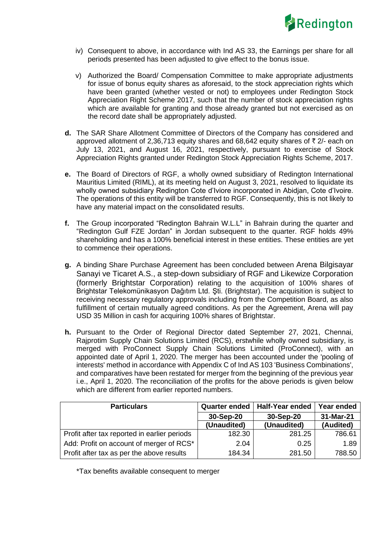

- iv) Consequent to above, in accordance with Ind AS 33, the Earnings per share for all periods presented has been adjusted to give effect to the bonus issue.
- v) Authorized the Board/ Compensation Committee to make appropriate adjustments for issue of bonus equity shares as aforesaid, to the stock appreciation rights which have been granted (whether vested or not) to employees under Redington Stock Appreciation Right Scheme 2017, such that the number of stock appreciation rights which are available for granting and those already granted but not exercised as on the record date shall be appropriately adjusted.
- **d.** The SAR Share Allotment Committee of Directors of the Company has considered and approved allotment of 2,36,713 equity shares and 68,642 equity shares of  $\bar{\tau}$  2/- each on July 13, 2021, and August 16, 2021, respectively, pursuant to exercise of Stock Appreciation Rights granted under Redington Stock Appreciation Rights Scheme, 2017.
- **e.** The Board of Directors of RGF, a wholly owned subsidiary of Redington International Mauritius Limited (RIML), at its meeting held on August 3, 2021, resolved to liquidate its wholly owned subsidiary Redington Cote d'Iviore incorporated in Abidjan, Cote d'Ivoire. The operations of this entity will be transferred to RGF. Consequently, this is not likely to have any material impact on the consolidated results.
- **f.** The Group incorporated "Redington Bahrain W.L.L" in Bahrain during the quarter and "Redington Gulf FZE Jordan" in Jordan subsequent to the quarter. RGF holds 49% shareholding and has a 100% beneficial interest in these entities. These entities are yet to commence their operations.
- **g.** A binding Share Purchase Agreement has been concluded between Arena Bilgisayar Sanayi ve Ticaret A.S., a step-down subsidiary of RGF and Likewize Corporation (formerly Brightstar Corporation) relating to the acquisition of 100% shares of Brightstar Telekomünikasyon Dağıtım Ltd. Şti. (Brightstar). The acquisition is subject to receiving necessary regulatory approvals including from the Competition Board, as also fulfillment of certain mutually agreed conditions. As per the Agreement, Arena will pay USD 35 Million in cash for acquiring 100% shares of Brightstar.
- **h.** Pursuant to the Order of Regional Director dated September 27, 2021, Chennai, Rajprotim Supply Chain Solutions Limited (RCS), erstwhile wholly owned subsidiary, is merged with ProConnect Supply Chain Solutions Limited (ProConnect), with an appointed date of April 1, 2020. The merger has been accounted under the 'pooling of interests' method in accordance with Appendix C of Ind AS 103 'Business Combinations', and comparatives have been restated for merger from the beginning of the previous year i.e., April 1, 2020. The reconciliation of the profits for the above periods is given below which are different from earlier reported numbers.

| <b>Particulars</b>                           | <b>Quarter ended</b> | Half-Year ended | Year ended |
|----------------------------------------------|----------------------|-----------------|------------|
|                                              | 30-Sep-20            | 30-Sep-20       | 31-Mar-21  |
|                                              | (Unaudited)          | (Unaudited)     | (Audited)  |
| Profit after tax reported in earlier periods | 182.30               | 281.25          | 786.61     |
| Add: Profit on account of merger of RCS*     | 2.04                 | 0.25            | 1.89       |
| Profit after tax as per the above results    | 184.34               | 281.50          | 788.50     |

\*Tax benefits available consequent to merger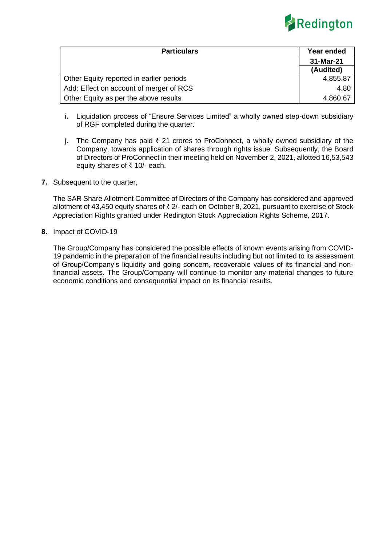

| <b>Particulars</b>                       | Year ended |  |
|------------------------------------------|------------|--|
|                                          | 31-Mar-21  |  |
|                                          | (Audited)  |  |
| Other Equity reported in earlier periods | 4,855.87   |  |
| Add: Effect on account of merger of RCS  | 4.80       |  |
| Other Equity as per the above results    | 4,860.67   |  |

- **i.** Liquidation process of "Ensure Services Limited" a wholly owned step-down subsidiary of RGF completed during the quarter.
- **j.** The Company has paid  $\bar{\tau}$  21 crores to ProConnect, a wholly owned subsidiary of the Company, towards application of shares through rights issue. Subsequently, the Board of Directors of ProConnect in their meeting held on November 2, 2021, allotted 16,53,543 equity shares of  $\bar{\tau}$  10/- each.
- **7.** Subsequent to the quarter,

The SAR Share Allotment Committee of Directors of the Company has considered and approved allotment of 43,450 equity shares of  $\bar{\tau}$  2/- each on October 8, 2021, pursuant to exercise of Stock Appreciation Rights granted under Redington Stock Appreciation Rights Scheme, 2017.

**8.** Impact of COVID-19

The Group/Company has considered the possible effects of known events arising from COVID-19 pandemic in the preparation of the financial results including but not limited to its assessment of Group/Company's liquidity and going concern, recoverable values of its financial and nonfinancial assets. The Group/Company will continue to monitor any material changes to future economic conditions and consequential impact on its financial results.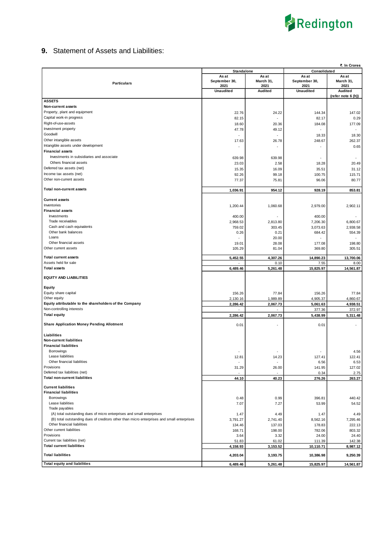

## **9.** Statement of Assets and Liabilities:

|                                                                                            |                                   |                   |                       | ₹. In Crores       |
|--------------------------------------------------------------------------------------------|-----------------------------------|-------------------|-----------------------|--------------------|
|                                                                                            | <b>Standalone</b><br>Consolidated |                   |                       |                    |
|                                                                                            | As at                             | As at             | As at                 | As at              |
| <b>Particulars</b>                                                                         | September 30,<br>2021             | March 31,<br>2021 | September 30,<br>2021 | March 31,<br>2021  |
|                                                                                            | <b>Unaudited</b>                  | <b>Audited</b>    | <b>Unaudited</b>      | <b>Audited</b>     |
|                                                                                            |                                   |                   |                       | (refer note 6 (h)) |
| <b>ASSETS</b>                                                                              |                                   |                   |                       |                    |
| Non-current assets                                                                         |                                   |                   |                       |                    |
| Property, plant and equipment                                                              | 22.76                             | 24.22             | 144.34                | 147.02             |
| Capital work-in progress                                                                   | 82.15                             |                   | 82.17                 | 0.29               |
| Right-of-use-assets                                                                        | 18.60                             | 20.36             | 184.08                | 177.09             |
| Investment property                                                                        | 47.78                             | 49.12             |                       |                    |
| Goodwill                                                                                   |                                   |                   | 18.33                 | 18.30              |
| Other intangible assets                                                                    | 17.63                             | 26.78             | 248.67                | 262.37             |
| Intangible assets under development                                                        | ٠                                 |                   | $\sim$                | 0.65               |
| <b>Financial assets</b>                                                                    |                                   |                   |                       |                    |
| Investments in subsidiaries and associate                                                  | 639.98                            | 639.98            | ٠                     | $\sim$             |
| Others financial assets                                                                    | 23.03                             | 2.58              | 18.28                 | 20.49              |
| Deferred tax assets (net)                                                                  | 15.35                             | 16.09             | 35.51                 | 31.12              |
| Income tax assets (net)                                                                    | 92.26                             | 99.18             | 100.75                | 115.71             |
| Other non-current assets                                                                   | 77.37                             | 75.81             | 96.06                 | 80.77              |
| <b>Total non-current assets</b>                                                            |                                   |                   |                       |                    |
|                                                                                            | 1,036.91                          | 954.12            | 928.19                | 853.81             |
| <b>Current assets</b>                                                                      |                                   |                   |                       |                    |
| Inventories                                                                                | 1,200.44                          | 1,060.68          | 2,979.00              | 2,902.11           |
| <b>Financial assets</b>                                                                    |                                   |                   |                       |                    |
| Investments                                                                                | 400.00                            |                   | 400.00                |                    |
| Trade receivables                                                                          | 2,968.53                          | 2,813.80          | 7,206.30              | 6.800.67           |
| Cash and cash equivalents                                                                  | 759.02                            | 303.45            | 3,073.63              | 2,938.58           |
| Other bank balances                                                                        | 0.26                              | 0.21              | 684.42                | 554.39             |
| Loans                                                                                      |                                   | 20.00             |                       |                    |
| Other financial assets                                                                     | 19.01                             | 28.08             | 177.08                | 198.80             |
| Other current assets                                                                       | 105.29                            | 81.04             | 369.80                | 305.51             |
| <b>Total current assets</b>                                                                | 5,452.55                          | 4,307.26          | 14,890.23             | 13,700.06          |
| Assets held for sale                                                                       |                                   | 0.10              | 7.55                  | 8.00               |
| <b>Total assets</b>                                                                        | 6,489.46                          | 5,261.48          | 15,825.97             | 14,561.87          |
|                                                                                            |                                   |                   |                       |                    |
|                                                                                            |                                   |                   |                       |                    |
| <b>EQUITY AND LIABILITIES</b>                                                              |                                   |                   |                       |                    |
|                                                                                            |                                   |                   |                       |                    |
| Equity<br>Equity share capital                                                             |                                   |                   |                       |                    |
| Other equity                                                                               | 156.26<br>2,130.16                | 77.84<br>1,989.89 | 156.26<br>4,905.37    | 77.84<br>4,860.67  |
| Equity attributable to the shareholders of the Company                                     | 2,286.42                          | 2,067.73          | 5,061.63              | 4,938.51           |
| Non-controlling interests                                                                  |                                   |                   | 377.36                | 372.97             |
| <b>Total equity</b>                                                                        | 2,286.42                          | 2,067.73          | 5,438.99              | 5,311.48           |
|                                                                                            |                                   |                   |                       |                    |
| <b>Share Application Money Pending Allotment</b>                                           | 0.01                              |                   | 0.01                  |                    |
|                                                                                            |                                   |                   |                       |                    |
| Liabilities                                                                                |                                   |                   |                       |                    |
| <b>Non-current liabilities</b>                                                             |                                   |                   |                       |                    |
| <b>Financial liabilities</b><br><b>Borrowings</b>                                          |                                   |                   |                       |                    |
| Lease liabilities                                                                          |                                   |                   |                       | 4.56               |
| Other financial liabilities                                                                | 12.81                             | 14.23             | 127.41<br>6.56        | 122.41<br>6.53     |
| Provisions                                                                                 | 31.29                             | 26.00             | 141.95                | 127.02             |
| Deferred tax liabilities (net)                                                             |                                   |                   | 0.34                  | 2.75               |
| <b>Total non-current liabilities</b>                                                       | 44.10                             | 40.23             | 276.26                | 263.27             |
|                                                                                            |                                   |                   |                       |                    |
| <b>Current liabilities</b>                                                                 |                                   |                   |                       |                    |
| <b>Financial liabilities</b><br>Borrowings                                                 |                                   |                   |                       |                    |
| Lease liabilities                                                                          | 0.48                              | 0.99              | 396.81                | 440.42             |
| Trade payables                                                                             | 7.07                              | 7.27              | 53.99                 | 54.52              |
| (A) total outstanding dues of micro enterprises and small enterprises                      | 1.47                              | 4.49              | 1.47                  | 4.49               |
| (B) total outstanding dues of creditors other than micro enterprises and small enterprises | 3,791.27                          | 2,741.40          | 8,562.16              | 7,295.46           |
| Other financial liabilities                                                                | 134.46                            | 137.03            | 178.83                | 222.13             |
| Other current liabilities                                                                  | 168.71                            | 198.00            | 782.06                | 803.32             |
| Provisions                                                                                 | 3.64                              | 3.32              | 24.00                 | 24.40              |
| Current tax liabilities (net)                                                              | 51.83                             | 61.02             | 111.39                | 142.38             |
| <b>Total current liabilities</b>                                                           | 4,158.93                          | 3,153.52          | 10,110.71             | 8,987.12           |
| <b>Total liabilities</b>                                                                   | 4,203.04                          | 3,193.75          | 10,386.98             | 9,250.39           |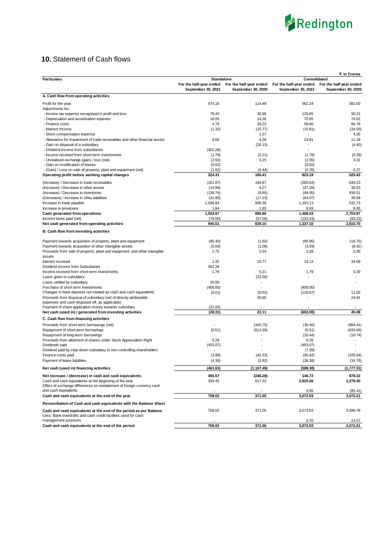

## **10.** Statement of Cash flows

|                                                                                                         |                         |                          |                         | ₹. In Crores            |
|---------------------------------------------------------------------------------------------------------|-------------------------|--------------------------|-------------------------|-------------------------|
| <b>Particulars</b>                                                                                      | Standalone              |                          | Consolidated            |                         |
|                                                                                                         | For the half-year ended | For the half-year ended  | For the half-year ended | For the half-year ended |
|                                                                                                         | September 30, 2021      | September 30, 2020       | September 30, 2021      | September 30, 2020      |
| A. Cash flow from operating activities                                                                  |                         |                          |                         |                         |
| Profit for the year                                                                                     | 674.16                  | 114.48                   | 562.24                  | 281.50                  |
| Adjustments for:                                                                                        |                         |                          |                         |                         |
| - Income tax expense recognised in profit and loss                                                      | 78.43                   | 30.96                    | 129.85                  | 90.22                   |
| - Depreciation and amortisation expense                                                                 | 18.05<br>4.79           | 14.26<br>39.23           | 70.95<br>58.66          | 74.62<br>94.79          |
| - Finance costs<br>- Interest income                                                                    | (1.32)                  | (15.77)                  | (15.81)                 | (34.93)                 |
| - Stock compensation expense                                                                            | $\sim$                  | 1.57                     |                         | 4.26                    |
| - Allowance for impairment of trade receivables and other financial assets                              | 8.66                    | 4.28                     | 23.91                   | 11.18                   |
| - Gain on disposal of a subsidiary                                                                      |                         | (26.10)                  |                         | (4.40)                  |
| - Dividend income from subsidiaries                                                                     | (452.28)                | $\sim$                   |                         |                         |
| - Income received from short-term investments                                                           | (1.79)                  | (0.21)                   | (1.79)                  | (0.39)                  |
| - Unrealised exchange (gain) / loss (net)                                                               | (2.55)                  | 3.15                     | (2.55)                  | 3.31                    |
| - Gain on modification of leases                                                                        | (0.02)                  | $\overline{\phantom{a}}$ | (0.02)                  |                         |
| - (Gain) / Loss on sale of property, plant and equipment (net)                                          | (1.82)                  | (0.44)                   | (2.25)                  | 0.27                    |
| Operating profit before working capital changes                                                         | 324.31                  | 165.41                   | 823.19                  | 520.43                  |
| (Increase) / Decrease in trade receivables                                                              | (161.87)                | 184.87                   | (365.04)                | 639.23                  |
| (Increase) / Decrease in other assets                                                                   | (14.99)                 | 4.27                     | (47.26)                 | 36.03                   |
| (Increase) / Decrease in inventories                                                                    | (139.76)                | (8.85)                   | (49.35)                 | 936.51                  |
| (Decrease) / Increase in other liabilities                                                              | (31.80)                 | (17.23)                  | (64.07)                 | 30.09                   |
| Increase in trade payable                                                                               | 1,046.84                | 566.36                   | 1,183.13                | 532.73                  |
| Increase in provisions                                                                                  | 1.84                    | 1.83                     | 8.93                    | 8.95                    |
| <b>Cash generated from operations</b>                                                                   | 1,024.57                | 896.66                   | 1,489.53                | 2,703.97                |
| Income taxes paid (net)<br>Net cash generated from operating activities                                 | (79.06)<br>945.51       | (57.56)<br>839.10        | (152.43)<br>1,337.10    | (93.22)<br>2,610.75     |
|                                                                                                         |                         |                          |                         |                         |
| B. Cash flow from investing activities                                                                  |                         |                          |                         |                         |
| Payment towards acquisition of property, plant and equipment                                            | (85.40)                 | (1.92)                   | (96.95)                 | (16.75)                 |
| Payment towards acquisition of other intangible assets                                                  | (0.04)                  | (1.08)                   | (3.59)                  | (8.91)                  |
| Proceeds from sale of property, plant and equipment and other intangible<br>assets                      | 2.75                    | 0.54                     | 3.28                    | 0.30                    |
| Interest received                                                                                       | 1.32                    | 15.77                    | 14.14                   | 34.09                   |
| Dividend income from Subsidiaries                                                                       | 452.28                  | $\overline{\phantom{a}}$ |                         |                         |
| Income received from short-term investments                                                             | 1.79                    | 0.21                     | 1.79                    | 0.39                    |
| Loans given to subsidiary                                                                               |                         | (22.00)                  |                         |                         |
| Loans settled by subsidiary                                                                             | 20.00                   | $\blacksquare$           |                         |                         |
| Purchase of short term investments                                                                      | (400.00)                | $\overline{\phantom{a}}$ | (400.00)                |                         |
| Changes in bank deposits not treated as cash and cash equivalents                                       | (0.01)                  | (0.01)                   | (120.67)                | 11.05                   |
| Proceeds from disposal of subsidiary (net of directly attributable                                      | ÷,                      | 30.60                    |                         | 24.91                   |
| expenses and cash disposed off, as applicable)<br>Payment of share application money towards subsidiary | (21.00)                 | $\sim$                   |                         | $\sim$                  |
| Net cash (used in) / generated from investing activities                                                | (28.31)                 | 22.11                    | (602.00)                | 45.08                   |
| C. Cash flow from financing activities                                                                  |                         |                          |                         |                         |
| Proceeds from short-term borrowings (net)                                                               |                         | (445.75)                 | (30.46)                 | (984.41)                |
| Repayment of short-term borrowings                                                                      | (0.51)                  | (613.39)                 | (0.51)                  | (633.56)                |
| Repayment of long-term borrowings                                                                       |                         |                          | (10.44)                 | (19.74)                 |
| Proceeds from allotment of shares under Stock Appreciation Right                                        | 0.29                    |                          | 0.29                    |                         |
| Dividends paid                                                                                          | (453.07)                |                          | (453.07)                |                         |
| Dividend paid by step-down subsidiary to non-controlling shareholders                                   |                         |                          | (7.39)                  |                         |
| Finance costs paid                                                                                      | (3.98)                  | (42.53)                  | (50.42)                 | (105.04)                |
| Payment of lease liabilities                                                                            | (4.36)                  | (5.82)                   | (36.38)                 | (34.76)                 |
| Net cash (used in) financing activities                                                                 | (461.63)                | (1, 107.49)              | (588.38)                | (1, 777.51)             |
| Net increase / (decrease) in cash and cash equivalents                                                  | 455.57                  | (246.28)                 | 146.72                  | 878.32                  |
| Cash and cash equivalents at the beginning of the year                                                  | 303.45                  | 617.33                   | 2,925.26                | 2,279.30                |
| Effect of exchange differences on restatement of foreign currency cash                                  |                         |                          |                         |                         |
| and cash equivalents                                                                                    | $\blacksquare$          | $\blacksquare$           | 0.95                    | (85.41)                 |
| Cash and cash equivalents at the end of the year                                                        | 759.02                  | 371.05                   | 3,072.93                | 3,072.21                |
| Reconciliation of Cash and cash equivalents with the Balance Sheet                                      |                         |                          |                         |                         |
| Cash and cash equivalents at the end of the period as per Balance                                       | 759.02                  | 371.05                   | 3,073.63                | 3,096.78                |
| Less: Bank overdrafts and cash credit facilities used for cash                                          |                         |                          |                         |                         |
| management purposes                                                                                     |                         |                          | 0.70                    | 24.57                   |
| Cash and cash equivalents at the end of the period                                                      | 759.02                  | 371.05                   | 3,072.93                | 3,072.21                |
|                                                                                                         |                         |                          |                         |                         |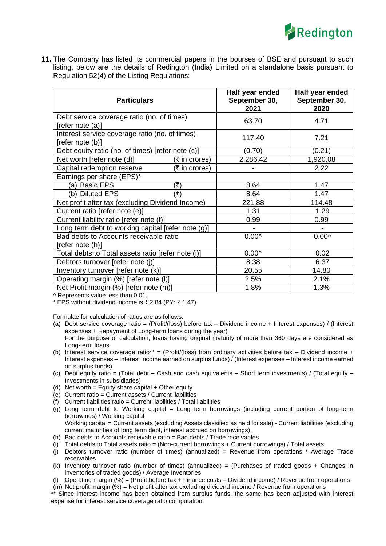

**11.** The Company has listed its commercial papers in the bourses of BSE and pursuant to such listing, below are the details of Redington (India) Limited on a standalone basis pursuant to Regulation 52(4) of the Listing Regulations:

| <b>Particulars</b>                                 | Half year ended<br>September 30,<br>2021 | Half year ended<br>September 30,<br>2020 |
|----------------------------------------------------|------------------------------------------|------------------------------------------|
| Debt service coverage ratio (no. of times)         | 63.70                                    | 4.71                                     |
| [refer note (a)]                                   |                                          |                                          |
| Interest service coverage ratio (no. of times)     | 117.40                                   | 7.21                                     |
| [refer note (b)]                                   |                                          |                                          |
| Debt equity ratio (no. of times) [refer note (c)]  | (0.70)                                   | (0.21)                                   |
| Net worth [refer note (d)]<br>(₹ in crores)        | 2,286.42                                 | 1,920.08                                 |
| Capital redemption reserve<br>(₹ in crores)        |                                          | 2.22                                     |
| Earnings per share (EPS)*                          |                                          |                                          |
| (a) Basic EPS<br>(₹)                               | 8.64                                     | 1.47                                     |
| (b) Diluted EPS<br>(₹)                             | 8.64                                     | 1.47                                     |
| Net profit after tax (excluding Dividend Income)   | 221.88                                   | 114.48                                   |
| Current ratio [refer note (e)]                     | 1.31                                     | 1.29                                     |
| Current liability ratio [refer note (f)]           | 0.99                                     | 0.99                                     |
| Long term debt to working capital [refer note (g)] | $\overline{\phantom{a}}$                 |                                          |
| Bad debts to Accounts receivable ratio             | $0.00^{\circ}$                           | $0.00^$                                  |
| [refer note (h)]                                   |                                          |                                          |
| Total debts to Total assets ratio [refer note (i)] | $0.00^{\circ}$                           | 0.02                                     |
| Debtors turnover [refer note (j)]                  | 8.38                                     | 6.37                                     |
| Inventory turnover [refer note (k)]                | 20.55                                    | 14.80                                    |
| Operating margin (%) [refer note (I)]              | 2.5%                                     | 2.1%                                     |
| Net Profit margin (%) [refer note (m)]             | 1.8%                                     | 1.3%                                     |

 $\overline{\wedge}$  Represents value less than 0.01.

\* EPS without dividend income is  $\bar{\tau}$  2.84 (PY:  $\bar{\tau}$  1.47)

Formulae for calculation of ratios are as follows:

- (a) Debt service coverage ratio = (Profit/(loss) before tax Dividend income + Interest expenses) / (Interest expenses + Repayment of Long-term loans during the year) For the purpose of calculation, loans having original maturity of more than 360 days are considered as Long-term loans.
- (b) Interest service coverage ratio\*\* = (Profit/(loss) from ordinary activities before tax Dividend income + Interest expenses – Interest income earned on surplus funds) / (Interest expenses – Interest income earned on surplus funds).
- (c) Debt equity ratio = (Total debt Cash and cash equivalents Short term investments) / (Total equity Investments in subsidiaries)
- (d) Net worth  $=$  Equity share capital  $+$  Other equity
- (e) Current ratio = Current assets / Current liabilities
- (f) Current liabilities ratio = Current liabilities / Total liabilities
- (g) Long term debt to Working capital = Long term borrowings (including current portion of long-term borrowings) / Working capital Working capital = Current assets (excluding Assets classified as held for sale) - Current liabilities (excluding
- current maturities of Iong term debt, interest accrued on borrowings).
- (h) Bad debts to Accounts receivable ratio = Bad debts / Trade receivables
- (i) Total debts to Total assets ratio = (Non-current borrowings + Current borrowings) / Total assets
- (i) Debtors turnover ratio (number of times) (annualized) = Revenue from operations / Average Trade receivables
- (k) Inventory turnover ratio (number of times) (annualized) = (Purchases of traded goods + Changes in inventories of traded goods) / Average Inventories
- (l) Operating margin  $(\%) = (Profit before tax + Finance costs Dividend income) / Revenue from operations$
- (m) Net profit margin (%) = Net profit after tax excluding dividend income / Revenue from operations \*\* Since interest income has been obtained from surplus funds, the same has been adjusted with interest

expense for interest service coverage ratio computation.